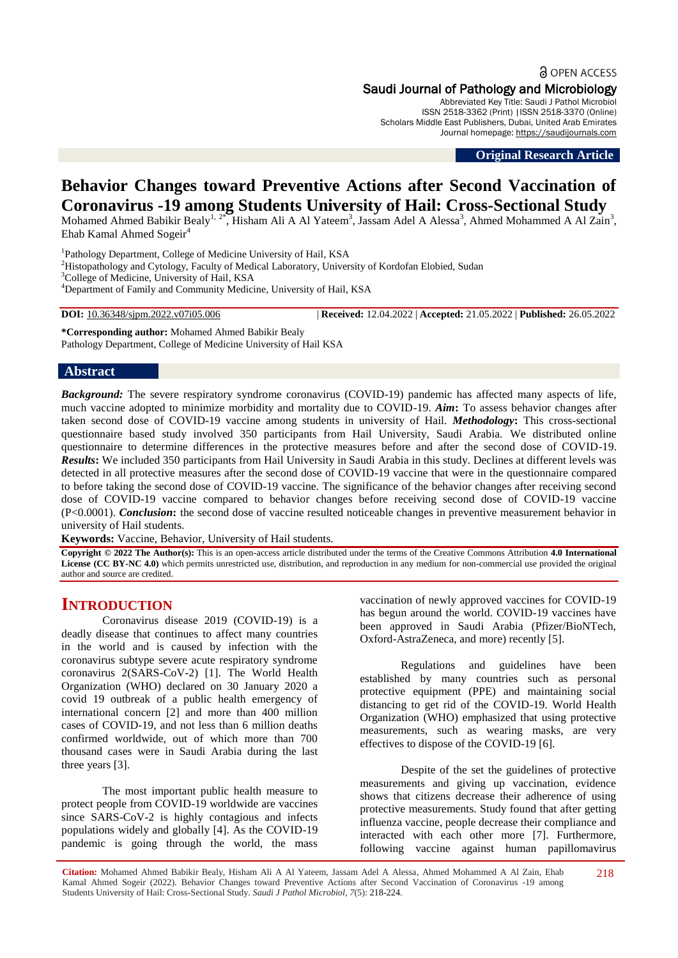a OPEN ACCESS Saudi Journal of Pathology and Microbiology

Abbreviated Key Title: Saudi J Pathol Microbiol ISSN 2518-3362 (Print) |ISSN 2518-3370 (Online) Scholars Middle East Publishers, Dubai, United Arab Emirates Journal homepage: [https://saudijournals.com](https://saudijournals.com/sjpm)

**Original Research Article**

# **Behavior Changes toward Preventive Actions after Second Vaccination of Coronavirus -19 among Students University of Hail: Cross-Sectional Study**

Mohamed Ahmed Babikir Bealy<sup>1, 2\*</sup>, Hisham Ali A Al Yateem<sup>3</sup>, Jassam Adel A Alessa<sup>3</sup>, Ahmed Mohammed A Al Zain<sup>3</sup>, Ehab Kamal Ahmed Sogeir $4$ 

<sup>1</sup>Pathology Department, College of Medicine University of Hail, KSA <sup>2</sup>Histopathology and Cytology, Faculty of Medical Laboratory, University of Kordofan Elobied, Sudan <sup>3</sup>College of Medicine, University of Hail, KSA <sup>4</sup>Department of Family and Community Medicine, University of Hail, KSA

**DOI:** 10.36348/sjpm.2022.v07i05.006 | **Received:** 12.04.2022 | **Accepted:** 21.05.2022 | **Published:** 26.05.2022

**\*Corresponding author:** Mohamed Ahmed Babikir Bealy Pathology Department, College of Medicine University of Hail KSA

# **Abstract**

*Background:* The severe respiratory syndrome coronavirus (COVID-19) pandemic has affected many aspects of life, much vaccine adopted to minimize morbidity and mortality due to COVID-19. *Aim***:** To assess behavior changes after taken second dose of COVID-19 vaccine among students in university of Hail. *Methodology***:** This cross-sectional questionnaire based study involved 350 participants from Hail University, Saudi Arabia. We distributed online questionnaire to determine differences in the protective measures before and after the second dose of COVID-19. *Results***:** We included 350 participants from Hail University in Saudi Arabia in this study. Declines at different levels was detected in all protective measures after the second dose of COVID-19 vaccine that were in the questionnaire compared to before taking the second dose of COVID-19 vaccine. The significance of the behavior changes after receiving second dose of COVID-19 vaccine compared to behavior changes before receiving second dose of COVID-19 vaccine (P<0.0001). *Conclusion***:** the second dose of vaccine resulted noticeable changes in preventive measurement behavior in university of Hail students.

**Keywords:** Vaccine, Behavior, University of Hail students.

**Copyright © 2022 The Author(s):** This is an open-access article distributed under the terms of the Creative Commons Attribution **4.0 International**  License (CC BY-NC 4.0) which permits unrestricted use, distribution, and reproduction in any medium for non-commercial use provided the original author and source are credited.

# **INTRODUCTION**

Coronavirus disease 2019 (COVID-19) is a deadly disease that continues to affect many countries in the world and is caused by infection with the coronavirus subtype severe acute respiratory syndrome coronavirus 2(SARS-CoV-2) [1]. The World Health Organization (WHO) declared on 30 January 2020 a covid 19 outbreak of a public health emergency of international concern [2] and more than 400 million cases of COVID-19, and not less than 6 million deaths confirmed worldwide, out of which more than 700 thousand cases were in Saudi Arabia during the last three years [3].

The most important public health measure to protect people from COVID-19 worldwide are vaccines since SARS-CoV-2 is highly contagious and infects populations widely and globally [4]. As the COVID-19 pandemic is going through the world, the mass

vaccination of newly approved vaccines for COVID-19 has begun around the world. COVID-19 vaccines have been approved in Saudi Arabia (Pfizer/BioNTech, Oxford-AstraZeneca, and more) recently [5].

Regulations and guidelines have been established by many countries such as personal protective equipment (PPE) and maintaining social distancing to get rid of the COVID-19. World Health Organization (WHO) emphasized that using protective measurements, such as wearing masks, are very effectives to dispose of the COVID-19 [6].

Despite of the set the guidelines of protective measurements and giving up vaccination, evidence shows that citizens decrease their adherence of using protective measurements. Study found that after getting influenza vaccine, people decrease their compliance and interacted with each other more [7]. Furthermore, following vaccine against human papillomavirus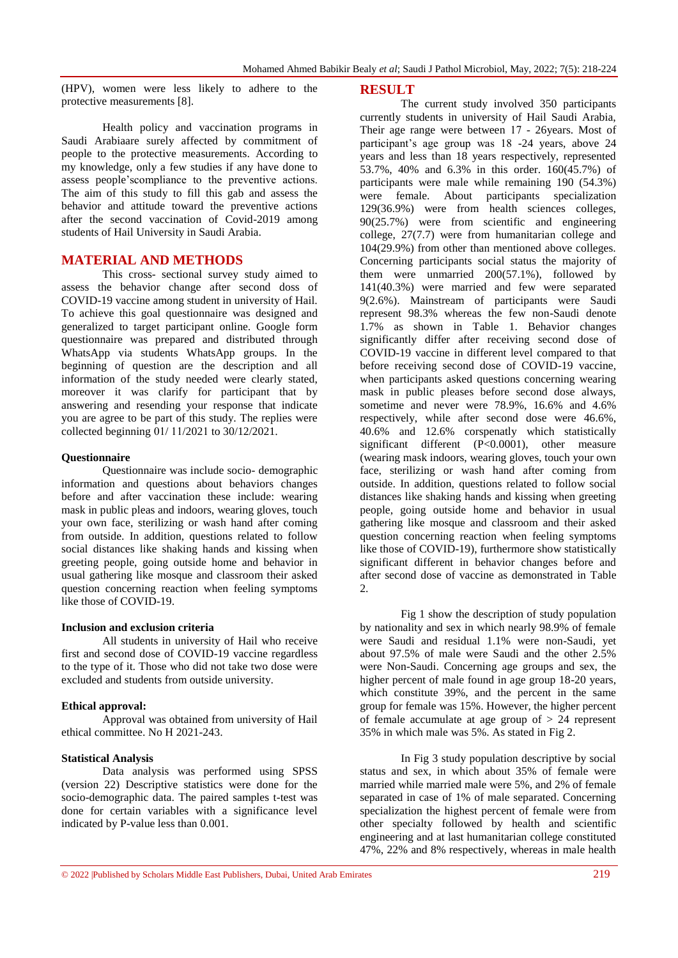(HPV), women were less likely to adhere to the protective measurements [8].

Health policy and vaccination programs in Saudi Arabiaare surely affected by commitment of people to the protective measurements. According to my knowledge, only a few studies if any have done to assess people'scompliance to the preventive actions. The aim of this study to fill this gab and assess the behavior and attitude toward the preventive actions after the second vaccination of Covid-2019 among students of Hail University in Saudi Arabia.

# **MATERIAL AND METHODS**

This cross- sectional survey study aimed to assess the behavior change after second doss of COVID-19 vaccine among student in university of Hail. To achieve this goal questionnaire was designed and generalized to target participant online. Google form questionnaire was prepared and distributed through WhatsApp via students WhatsApp groups. In the beginning of question are the description and all information of the study needed were clearly stated, moreover it was clarify for participant that by answering and resending your response that indicate you are agree to be part of this study. The replies were collected beginning  $01/ 11/2021$  to  $30/12/2021$ .

#### **Questionnaire**

Questionnaire was include socio- demographic information and questions about behaviors changes before and after vaccination these include: wearing mask in public pleas and indoors, wearing gloves, touch your own face, sterilizing or wash hand after coming from outside. In addition, questions related to follow social distances like shaking hands and kissing when greeting people, going outside home and behavior in usual gathering like mosque and classroom their asked question concerning reaction when feeling symptoms like those of COVID-19.

## **Inclusion and exclusion criteria**

All students in university of Hail who receive first and second dose of COVID-19 vaccine regardless to the type of it. Those who did not take two dose were excluded and students from outside university.

#### **Ethical approval:**

Approval was obtained from university of Hail ethical committee. No H 2021-243.

#### **Statistical Analysis**

Data analysis was performed using SPSS (version 22) Descriptive statistics were done for the socio-demographic data. The paired samples t-test was done for certain variables with a significance level indicated by P-value less than 0.001.

#### **RESULT**

The current study involved 350 participants currently students in university of Hail Saudi Arabia, Their age range were between 17 - 26years. Most of participant's age group was 18 -24 years, above 24 years and less than 18 years respectively, represented 53.7%, 40% and 6.3% in this order. 160(45.7%) of participants were male while remaining 190 (54.3%) were female. About participants specialization 129(36.9%) were from health sciences colleges, 90(25.7%) were from scientific and engineering college, 27(7.7) were from humanitarian college and 104(29.9%) from other than mentioned above colleges. Concerning participants social status the majority of them were unmarried  $200(57.1\%)$ , followed by 141(40.3%) were married and few were separated 9(2.6%). Mainstream of participants were Saudi represent 98.3% whereas the few non-Saudi denote 1.7% as shown in Table 1. Behavior changes significantly differ after receiving second dose of COVID-19 vaccine in different level compared to that before receiving second dose of COVID-19 vaccine, when participants asked questions concerning wearing mask in public pleases before second dose always, sometime and never were 78.9%, 16.6% and 4.6% respectively, while after second dose were 46.6%, 40.6% and 12.6% corspenatly which statistically significant different (P<0.0001), other measure (wearing mask indoors, wearing gloves, touch your own face, sterilizing or wash hand after coming from outside. In addition, questions related to follow social distances like shaking hands and kissing when greeting people, going outside home and behavior in usual gathering like mosque and classroom and their asked question concerning reaction when feeling symptoms like those of COVID-19), furthermore show statistically significant different in behavior changes before and after second dose of vaccine as demonstrated in Table 2.

Fig 1 show the description of study population by nationality and sex in which nearly 98.9% of female were Saudi and residual 1.1% were non-Saudi, yet about 97.5% of male were Saudi and the other 2.5% were Non-Saudi. Concerning age groups and sex, the higher percent of male found in age group 18-20 years. which constitute 39%, and the percent in the same group for female was 15%. However, the higher percent of female accumulate at age group of  $> 24$  represent 35% in which male was 5%. As stated in Fig 2.

In Fig 3 study population descriptive by social status and sex, in which about 35% of female were married while married male were 5%, and 2% of female separated in case of 1% of male separated. Concerning specialization the highest percent of female were from other specialty followed by health and scientific engineering and at last humanitarian college constituted 47%, 22% and 8% respectively, whereas in male health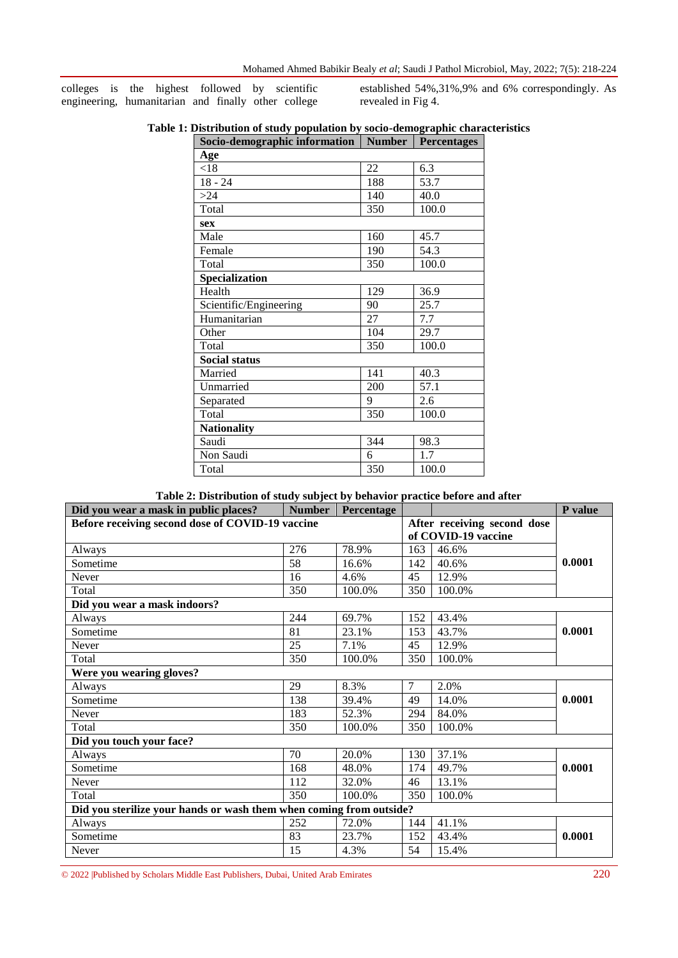colleges is the highest followed by scientific engineering, humanitarian and finally other college established 54%,31%,9% and 6% correspondingly. As revealed in Fig 4.

| Table 1: Distribution of study population by socio-demographic characteristics |  |  |
|--------------------------------------------------------------------------------|--|--|
| Socio-demographic information   Number   Percentages                           |  |  |

| to achiographic miorination | THREED AT | $\sim$ or contains to |
|-----------------------------|-----------|-----------------------|
| Age                         |           |                       |
| < 18                        | 22        | 6.3                   |
| $18 - 24$                   | 188       | 53.7                  |
| >24                         | 140       | 40.0                  |
| Total                       | 350       | 100.0                 |
| sex                         |           |                       |
| Male                        | 160       | 45.7                  |
| Female                      | 190       | 54.3                  |
| Total                       | 350       | 100.0                 |
| <b>Specialization</b>       |           |                       |
| Health                      | 129       | 36.9                  |
| Scientific/Engineering      | 90        | 25.7                  |
| Humanitarian                | 27        | 7.7                   |
| Other                       | 104       | 29.7                  |
| Total                       | 350       | 100.0                 |
| <b>Social status</b>        |           |                       |
| Married                     | 141       | 40.3                  |
| Unmarried                   | 200       | 57.1                  |
| Separated                   | 9         | 2.6                   |
| Total                       | 350       | 100.0                 |
| <b>Nationality</b>          |           |                       |
| Saudi                       | 344       | 98.3                  |
| Non Saudi                   | 6         | 1.7                   |
| Total                       | 350       | 100.0                 |

|  |  | Table 2: Distribution of study subject by behavior practice before and after |
|--|--|------------------------------------------------------------------------------|
|  |  |                                                                              |

| Did you wear a mask in public places?                                           | Number | Percentage |                |                     | P value |
|---------------------------------------------------------------------------------|--------|------------|----------------|---------------------|---------|
| Before receiving second dose of COVID-19 vaccine<br>After receiving second dose |        |            |                |                     |         |
|                                                                                 |        |            |                | of COVID-19 vaccine |         |
| Always                                                                          | 276    | 78.9%      | 163            | 46.6%               |         |
| Sometime                                                                        | 58     | 16.6%      | 142            | 40.6%               | 0.0001  |
| Never                                                                           | 16     | 4.6%       | 45             | 12.9%               |         |
| Total                                                                           | 350    | 100.0%     | 350            | 100.0%              |         |
| Did you wear a mask indoors?                                                    |        |            |                |                     |         |
| Always                                                                          | 244    | 69.7%      | 152            | 43.4%               |         |
| Sometime                                                                        | 81     | 23.1%      | 153            | 43.7%               | 0.0001  |
| Never                                                                           | 25     | 7.1%       | 45             | 12.9%               |         |
| Total                                                                           | 350    | 100.0%     | 350            | 100.0%              |         |
| Were you wearing gloves?                                                        |        |            |                |                     |         |
| Always                                                                          | 29     | 8.3%       | $\overline{7}$ | 2.0%                |         |
| Sometime                                                                        | 138    | 39.4%      | 49             | 14.0%               | 0.0001  |
| Never                                                                           | 183    | 52.3%      | 294            | 84.0%               |         |
| Total                                                                           | 350    | 100.0%     | 350            | 100.0%              |         |
| Did you touch your face?                                                        |        |            |                |                     |         |
| Always                                                                          | 70     | 20.0%      | 130            | 37.1%               |         |
| Sometime                                                                        | 168    | 48.0%      | 174            | 49.7%               | 0.0001  |
| Never                                                                           | 112    | 32.0%      | 46             | 13.1%               |         |
| Total                                                                           | 350    | 100.0%     | 350            | 100.0%              |         |
| Did you sterilize your hands or wash them when coming from outside?             |        |            |                |                     |         |
| Always                                                                          | 252    | 72.0%      | 144            | 41.1%               |         |
| Sometime                                                                        | 83     | 23.7%      | 152            | 43.4%               | 0.0001  |
| Never                                                                           | 15     | 4.3%       | 54             | 15.4%               |         |

© 2022 |Published by Scholars Middle East Publishers, Dubai, United Arab Emirates 220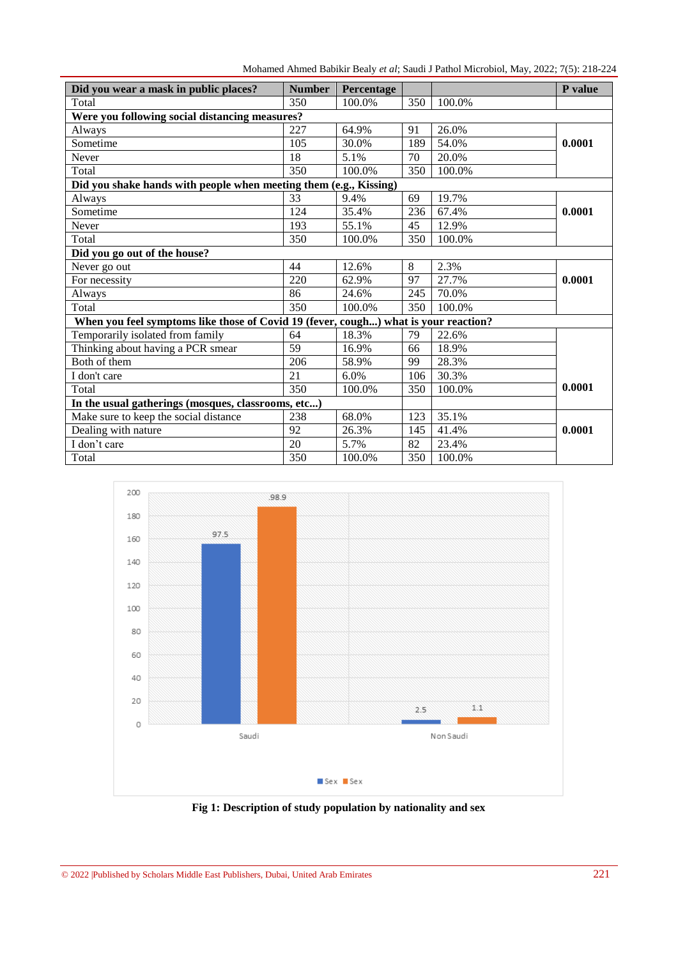Mohamed Ahmed Babikir Bealy *et al*; Saudi J Pathol Microbiol, May, 2022; 7(5): 218-224

| Did you wear a mask in public places?                                               | <b>Number</b> | Percentage |     |        | P value |  |
|-------------------------------------------------------------------------------------|---------------|------------|-----|--------|---------|--|
| Total                                                                               | 350           | 100.0%     | 350 | 100.0% |         |  |
| Were you following social distancing measures?                                      |               |            |     |        |         |  |
| Always                                                                              | 227           | 64.9%      | 91  | 26.0%  |         |  |
| Sometime                                                                            | 105           | 30.0%      | 189 | 54.0%  | 0.0001  |  |
| Never                                                                               | 18            | 5.1%       | 70  | 20.0%  |         |  |
| Total                                                                               | 350           | 100.0%     | 350 | 100.0% |         |  |
| Did you shake hands with people when meeting them (e.g., Kissing)                   |               |            |     |        |         |  |
| Always                                                                              | 33            | 9.4%       | 69  | 19.7%  |         |  |
| Sometime                                                                            | 124           | 35.4%      | 236 | 67.4%  | 0.0001  |  |
| Never                                                                               | 193           | 55.1%      | 45  | 12.9%  |         |  |
| Total                                                                               | 350           | 100.0%     | 350 | 100.0% |         |  |
| Did you go out of the house?                                                        |               |            |     |        |         |  |
| Never go out                                                                        | 44            | 12.6%      | 8   | 2.3%   |         |  |
| For necessity                                                                       | 220           | 62.9%      | 97  | 27.7%  | 0.0001  |  |
| Always                                                                              | 86            | 24.6%      | 245 | 70.0%  |         |  |
| Total                                                                               | 350           | 100.0%     | 350 | 100.0% |         |  |
| When you feel symptoms like those of Covid 19 (fever, cough) what is your reaction? |               |            |     |        |         |  |
| Temporarily isolated from family                                                    | 64            | 18.3%      | 79  | 22.6%  |         |  |
| Thinking about having a PCR smear                                                   | 59            | 16.9%      | 66  | 18.9%  |         |  |
| Both of them                                                                        | 206           | 58.9%      | 99  | 28.3%  |         |  |
| I don't care                                                                        | 21            | 6.0%       | 106 | 30.3%  |         |  |
| Total                                                                               | 350           | 100.0%     | 350 | 100.0% | 0.0001  |  |
| In the usual gatherings (mosques, classrooms, etc)                                  |               |            |     |        |         |  |
| Make sure to keep the social distance                                               | 238           | 68.0%      | 123 | 35.1%  |         |  |
| Dealing with nature                                                                 | 92            | 26.3%      | 145 | 41.4%  | 0.0001  |  |
| I don't care                                                                        | 20            | 5.7%       | 82  | 23.4%  |         |  |
| Total                                                                               | 350           | 100.0%     | 350 | 100.0% |         |  |



**Fig 1: Description of study population by nationality and sex**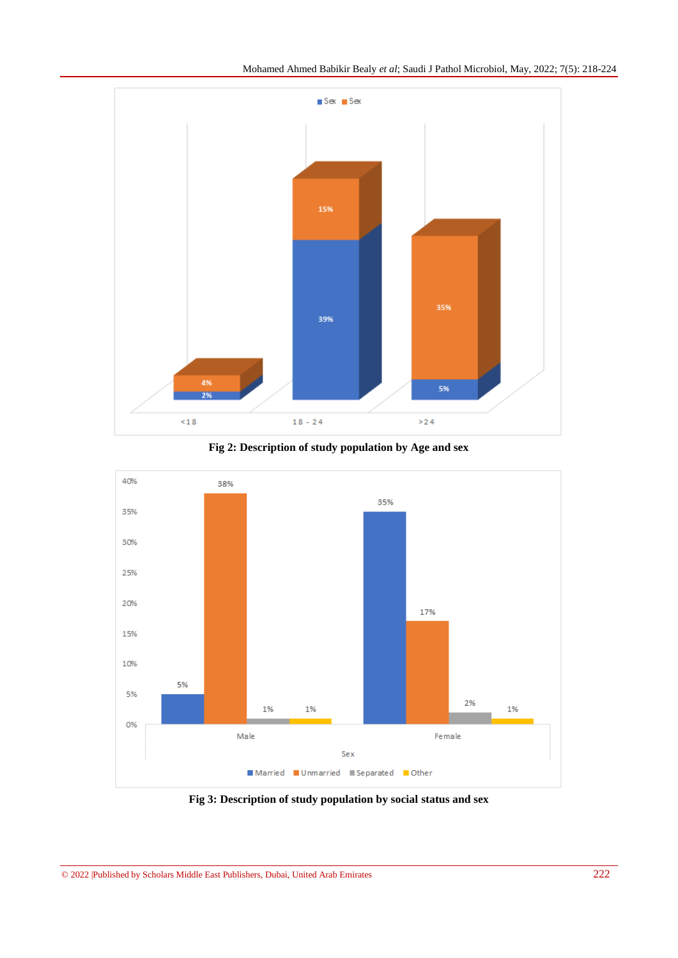





**Fig 3: Description of study population by social status and sex**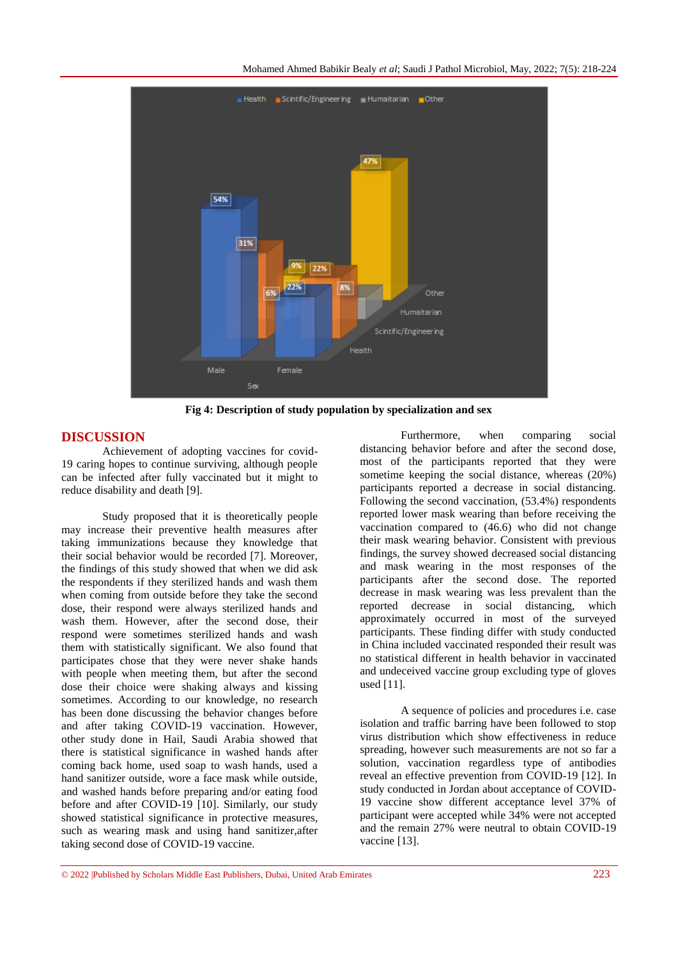

**Fig 4: Description of study population by specialization and sex**

# **DISCUSSION**

Achievement of adopting vaccines for covid-19 caring hopes to continue surviving, although people can be infected after fully vaccinated but it might to reduce disability and death [9].

Study proposed that it is theoretically people may increase their preventive health measures after taking immunizations because they knowledge that their social behavior would be recorded [7]. Moreover, the findings of this study showed that when we did ask the respondents if they sterilized hands and wash them when coming from outside before they take the second dose, their respond were always sterilized hands and wash them. However, after the second dose, their respond were sometimes sterilized hands and wash them with statistically significant. We also found that participates chose that they were never shake hands with people when meeting them, but after the second dose their choice were shaking always and kissing sometimes. According to our knowledge, no research has been done discussing the behavior changes before and after taking COVID-19 vaccination. However, other study done in Hail, Saudi Arabia showed that there is statistical significance in washed hands after coming back home, used soap to wash hands, used a hand sanitizer outside, wore a face mask while outside, and washed hands before preparing and/or eating food before and after COVID-19 [10]. Similarly, our study showed statistical significance in protective measures, such as wearing mask and using hand sanitizer,after taking second dose of COVID-19 vaccine.

Furthermore, when comparing social distancing behavior before and after the second dose, most of the participants reported that they were sometime keeping the social distance, whereas (20%) participants reported a decrease in social distancing. Following the second vaccination, (53.4%) respondents reported lower mask wearing than before receiving the vaccination compared to (46.6) who did not change their mask wearing behavior. Consistent with previous findings, the survey showed decreased social distancing and mask wearing in the most responses of the participants after the second dose. The reported decrease in mask wearing was less prevalent than the reported decrease in social distancing, which approximately occurred in most of the surveyed participants. These finding differ with study conducted in China included vaccinated responded their result was no statistical different in health behavior in vaccinated and undeceived vaccine group excluding type of gloves used [11].

A sequence of policies and procedures i.e. case isolation and traffic barring have been followed to stop virus distribution which show effectiveness in reduce spreading, however such measurements are not so far a solution, vaccination regardless type of antibodies reveal an effective prevention from COVID-19 [12]. In study conducted in Jordan about acceptance of COVID-19 vaccine show different acceptance level 37% of participant were accepted while 34% were not accepted and the remain 27% were neutral to obtain COVID-19 vaccine [13].